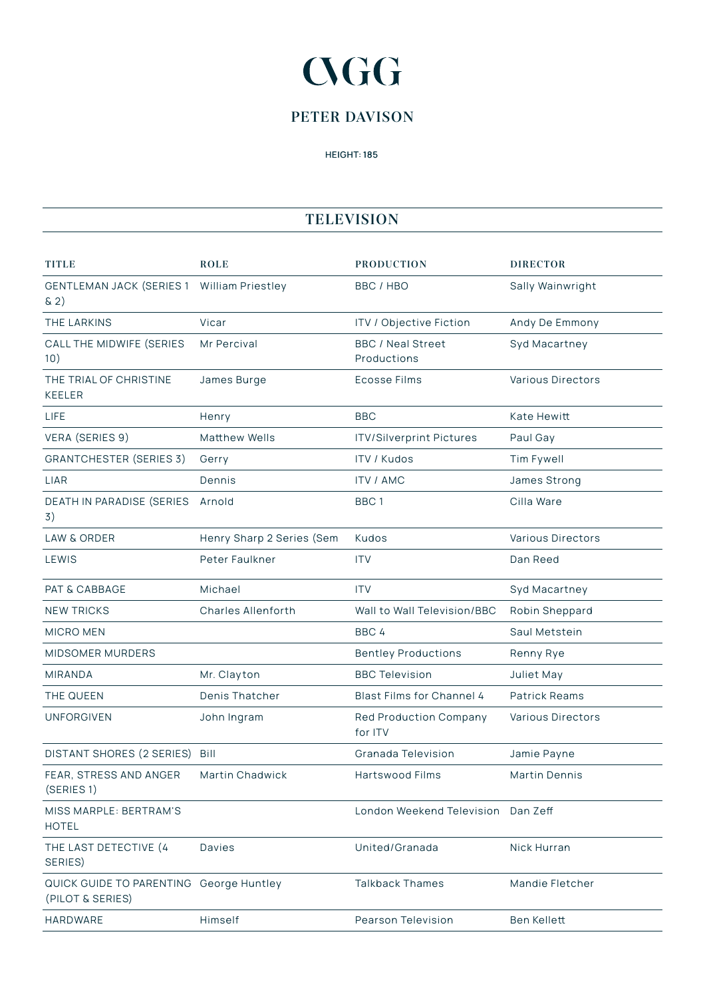## **CGG**

## **PETER DAVISON**

HEIGHT: 185

## **TELEVISION**

| TITLE                                                       | <b>ROLE</b>               | <b>PRODUCTION</b>                        | <b>DIRECTOR</b>          |
|-------------------------------------------------------------|---------------------------|------------------------------------------|--------------------------|
| GENTLEMAN JACK (SERIES 1 William Priestley<br>$\& 2)$       |                           | BBC / HBO                                | Sally Wainwright         |
| THE LARKINS                                                 | Vicar                     | ITV / Objective Fiction                  | Andy De Emmony           |
| CALL THE MIDWIFE (SERIES<br>10)                             | Mr Percival               | <b>BBC / Neal Street</b><br>Productions  | Syd Macartney            |
| THE TRIAL OF CHRISTINE<br><b>KEELER</b>                     | James Burge               | <b>Ecosse Films</b>                      | <b>Various Directors</b> |
| <b>LIFE</b>                                                 | Henry                     | <b>BBC</b>                               | Kate Hewitt              |
| VERA (SERIES 9)                                             | <b>Matthew Wells</b>      | <b>ITV/Silverprint Pictures</b>          | Paul Gay                 |
| <b>GRANTCHESTER (SERIES 3)</b>                              | Gerry                     | <b>ITV / Kudos</b>                       | Tim Fywell               |
| LIAR                                                        | Dennis                    | <b>ITV / AMC</b>                         | James Strong             |
| DEATH IN PARADISE (SERIES<br>3)                             | Arnold                    | BBC <sub>1</sub>                         | Cilla Ware               |
| <b>LAW &amp; ORDER</b>                                      | Henry Sharp 2 Series (Sem | Kudos                                    | <b>Various Directors</b> |
| LEWIS                                                       | Peter Faulkner            | <b>ITV</b>                               | Dan Reed                 |
| PAT & CABBAGE                                               | Michael                   | <b>ITV</b>                               | Syd Macartney            |
| <b>NEW TRICKS</b>                                           | <b>Charles Allenforth</b> | Wall to Wall Television/BBC              | Robin Sheppard           |
| <b>MICRO MEN</b>                                            |                           | BBC 4                                    | Saul Metstein            |
| MIDSOMER MURDERS                                            |                           | <b>Bentley Productions</b>               | Renny Rye                |
| <b>MIRANDA</b>                                              | Mr. Clayton               | <b>BBC Television</b>                    | Juliet May               |
| THE QUEEN                                                   | Denis Thatcher            | Blast Films for Channel 4                | <b>Patrick Reams</b>     |
| <b>UNFORGIVEN</b>                                           | John Ingram               | <b>Red Production Company</b><br>for ITV | <b>Various Directors</b> |
| DISTANT SHORES (2 SERIES) Bill                              |                           | Granada Television                       | Jamie Payne              |
| FEAR, STRESS AND ANGER<br>(SERIES 1)                        | <b>Martin Chadwick</b>    | Hartswood Films                          | <b>Martin Dennis</b>     |
| MISS MARPLE: BERTRAM'S<br><b>HOTEL</b>                      |                           | London Weekend Television Dan Zeff       |                          |
| THE LAST DETECTIVE (4<br>SERIES)                            | Davies                    | United/Granada                           | Nick Hurran              |
| QUICK GUIDE TO PARENTING George Huntley<br>(PILOT & SERIES) |                           | <b>Talkback Thames</b>                   | Mandie Fletcher          |
| HARDWARE                                                    | Himself                   | <b>Pearson Television</b>                | Ben Kellett              |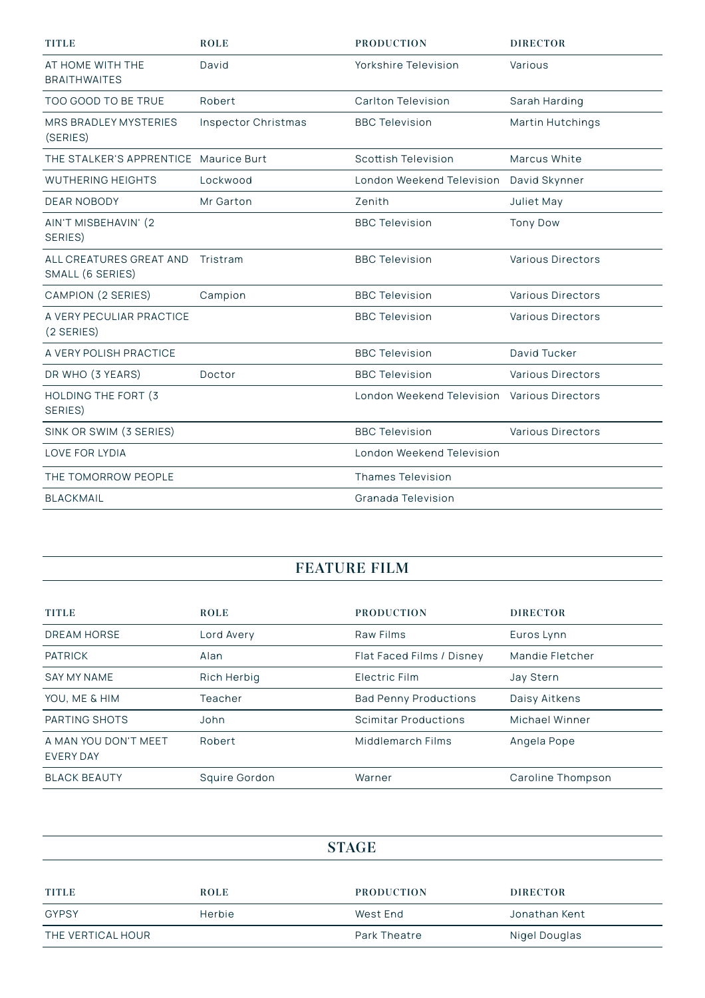| <b>TITLE</b>                                | <b>ROLE</b>                | <b>PRODUCTION</b>                           | <b>DIRECTOR</b>          |
|---------------------------------------------|----------------------------|---------------------------------------------|--------------------------|
| AT HOME WITH THE<br><b>BRAITHWAITES</b>     | David                      | Yorkshire Television                        | Various                  |
| TOO GOOD TO BE TRUE                         | Robert                     | Carlton Television                          | Sarah Harding            |
| MRS BRADLEY MYSTERIES<br>(SERIES)           | <b>Inspector Christmas</b> | <b>BBC Television</b>                       | Martin Hutchings         |
| THE STALKER'S APPRENTICE Maurice Burt       |                            | <b>Scottish Television</b>                  | Marcus White             |
| <b>WUTHERING HEIGHTS</b>                    | Lockwood                   | London Weekend Television                   | David Skynner            |
| <b>DEAR NOBODY</b>                          | Mr Garton                  | Zenith                                      | Juliet May               |
| AIN'T MISBEHAVIN' (2<br>SERIES)             |                            | <b>BBC Television</b>                       | <b>Tony Dow</b>          |
| ALL CREATURES GREAT AND<br>SMALL (6 SERIES) | Tristram                   | <b>BBC Television</b>                       | <b>Various Directors</b> |
| CAMPION (2 SERIES)                          | Campion                    | <b>BBC Television</b>                       | <b>Various Directors</b> |
| A VERY PECULIAR PRACTICE<br>(2 SERIES)      |                            | <b>BBC Television</b>                       | <b>Various Directors</b> |
| A VERY POLISH PRACTICE                      |                            | <b>BBC Television</b>                       | David Tucker             |
| DR WHO (3 YEARS)                            | Doctor                     | <b>BBC Television</b>                       | Various Directors        |
| HOLDING THE FORT (3<br>SERIES)              |                            | London Weekend Television Various Directors |                          |
| SINK OR SWIM (3 SERIES)                     |                            | <b>BBC Television</b>                       | <b>Various Directors</b> |
| <b>LOVE FOR LYDIA</b>                       |                            | London Weekend Television                   |                          |
| THE TOMORROW PEOPLE                         |                            | <b>Thames Television</b>                    |                          |
| <b>BLACKMAIL</b>                            |                            | Granada Television                          |                          |

## **FEATURE FILM**

| <b>TITLE</b>                             | <b>ROLE</b>   | <b>PRODUCTION</b>            | <b>DIRECTOR</b>   |
|------------------------------------------|---------------|------------------------------|-------------------|
| <b>DREAM HORSE</b>                       | Lord Avery    | Raw Films                    | Euros Lynn        |
| <b>PATRICK</b>                           | Alan          | Flat Faced Films / Disney    | Mandie Fletcher   |
| <b>SAY MY NAME</b>                       | Rich Herbig   | Electric Film                | Jay Stern         |
| YOU, ME & HIM                            | Teacher       | <b>Bad Penny Productions</b> | Daisy Aitkens     |
| PARTING SHOTS                            | John          | <b>Scimitar Productions</b>  | Michael Winner    |
| A MAN YOU DON'T MEET<br><b>EVERY DAY</b> | Robert        | Middlemarch Films            | Angela Pope       |
| <b>BLACK BEAUTY</b>                      | Squire Gordon | Warner                       | Caroline Thompson |

| <b>STAGE</b>      |             |                     |                 |
|-------------------|-------------|---------------------|-----------------|
|                   |             |                     |                 |
| <b>TITLE</b>      | <b>ROLE</b> | <b>PRODUCTION</b>   | <b>DIRECTOR</b> |
| <b>GYPSY</b>      | Herbie      | West End            | Jonathan Kent   |
| THE VERTICAL HOUR |             | <b>Park Theatre</b> | Nigel Douglas   |